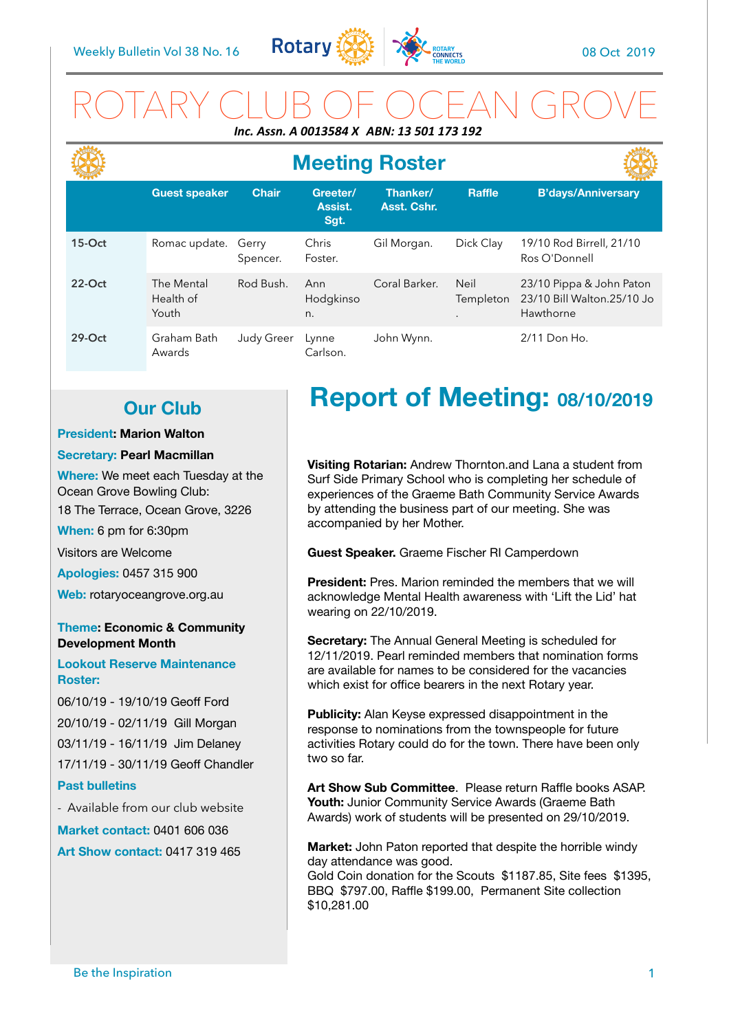

# ROTARY CLUB OF OCEAN GROVE *Inc. Assn. A 0013584 X ABN: 13 501 173 192*

|          |                                  |                   |                             | <b>Meeting Roster</b>   |                          |                                                                     |
|----------|----------------------------------|-------------------|-----------------------------|-------------------------|--------------------------|---------------------------------------------------------------------|
|          | <b>Guest speaker</b>             | <b>Chair</b>      | Greeter/<br>Assist.<br>Sgt. | Thanker/<br>Asst. Cshr. | <b>Raffle</b>            | <b>B'days/Anniversary</b>                                           |
| $15-Oct$ | Romac update.                    | Gerry<br>Spencer. | Chris<br>Foster.            | Gil Morgan.             | Dick Clay                | 19/10 Rod Birrell, 21/10<br>Ros O'Donnell                           |
| $22-Ort$ | The Mental<br>Health of<br>Youth | Rod Bush.         | Ann<br>Hodgkinso<br>n.      | Coral Barker.           | <b>Neil</b><br>Templeton | 23/10 Pippa & John Paton<br>23/10 Bill Walton.25/10 Jo<br>Hawthorne |
| $29-Oct$ | Graham Bath<br>Awards            | <b>Judy Greer</b> | Lynne<br>Carlson.           | John Wynn.              |                          | 2/11 Don Ho.                                                        |

## **Our Club**

### **President: Marion Walton**

### **Secretary: Pearl Macmillan**

**Where:** We meet each Tuesday at the Ocean Grove Bowling Club:

18 The Terrace, Ocean Grove, 3226

**When:** 6 pm for 6:30pm

Visitors are Welcome

**Apologies:** 0457 315 900

**Web:** rotaryoceangrove.org.au

### **Theme: Economic & Community Development Month**

**Lookout Reserve Maintenance Roster:** 

06/10/19 - 19/10/19 Geoff Ford 20/10/19 - 02/11/19 Gill Morgan 03/11/19 - 16/11/19 Jim Delaney 17/11/19 - 30/11/19 Geoff Chandler **Past bulletins** 

- Available from our club website

**Market contact:** 0401 606 036 **Art Show contact:** 0417 319 465

# **Report of Meeting: 08/10/2019**

**Visiting Rotarian:** Andrew Thornton.and Lana a student from Surf Side Primary School who is completing her schedule of experiences of the Graeme Bath Community Service Awards by attending the business part of our meeting. She was accompanied by her Mother.

**Guest Speaker.** Graeme Fischer RI Camperdown

**President:** Pres. Marion reminded the members that we will acknowledge Mental Health awareness with 'Lift the Lid' hat wearing on 22/10/2019.

**Secretary:** The Annual General Meeting is scheduled for 12/11/2019. Pearl reminded members that nomination forms are available for names to be considered for the vacancies which exist for office bearers in the next Rotary year.

**Publicity:** Alan Keyse expressed disappointment in the response to nominations from the townspeople for future activities Rotary could do for the town. There have been only two so far.

**Art Show Sub Committee**. Please return Raffle books ASAP. Youth: Junior Community Service Awards (Graeme Bath Awards) work of students will be presented on 29/10/2019.

**Market:** John Paton reported that despite the horrible windy day attendance was good.

Gold Coin donation for the Scouts \$1187.85, Site fees \$1395, BBQ \$797.00, Raffle \$199.00, Permanent Site collection \$10,281.00